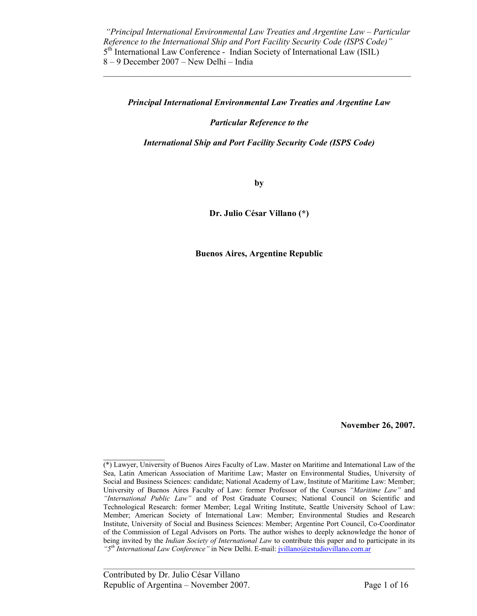$\mathcal{L}_\mathcal{L} = \mathcal{L}_\mathcal{L} = \mathcal{L}_\mathcal{L} = \mathcal{L}_\mathcal{L} = \mathcal{L}_\mathcal{L} = \mathcal{L}_\mathcal{L} = \mathcal{L}_\mathcal{L} = \mathcal{L}_\mathcal{L} = \mathcal{L}_\mathcal{L} = \mathcal{L}_\mathcal{L} = \mathcal{L}_\mathcal{L} = \mathcal{L}_\mathcal{L} = \mathcal{L}_\mathcal{L} = \mathcal{L}_\mathcal{L} = \mathcal{L}_\mathcal{L} = \mathcal{L}_\mathcal{L} = \mathcal{L}_\mathcal{L}$ 

#### *Principal International Environmental Law Treaties and Argentine Law*

*Particular Reference to the* 

*International Ship and Port Facility Security Code (ISPS Code)* 

**by** 

**Dr. Julio César Villano (\*)** 

**Buenos Aires, Argentine Republic** 

**November 26, 2007.** 

 $\mathcal{L}_\text{max}$ (\*) Lawyer, University of Buenos Aires Faculty of Law. Master on Maritime and International Law of the Sea, Latin American Association of Maritime Law; Master on Environmental Studies, University of Social and Business Sciences: candidate; National Academy of Law, Institute of Maritime Law: Member; University of Buenos Aires Faculty of Law: former Professor of the Courses *"Maritime Law"* and *"International Public Law"* and of Post Graduate Courses; National Council on Scientific and Technological Research: former Member; Legal Writing Institute, Seattle University School of Law: Member; American Society of International Law: Member; Environmental Studies and Research Institute, University of Social and Business Sciences: Member; Argentine Port Council, Co-Coordinator of the Commission of Legal Advisors on Ports. The author wishes to deeply acknowledge the honor of being invited by the *Indian Society of International Law* to contribute this paper and to participate in its *"5th International Law Conference"* in New Delhi. E-mail: jvillano@estudiovillano.com.ar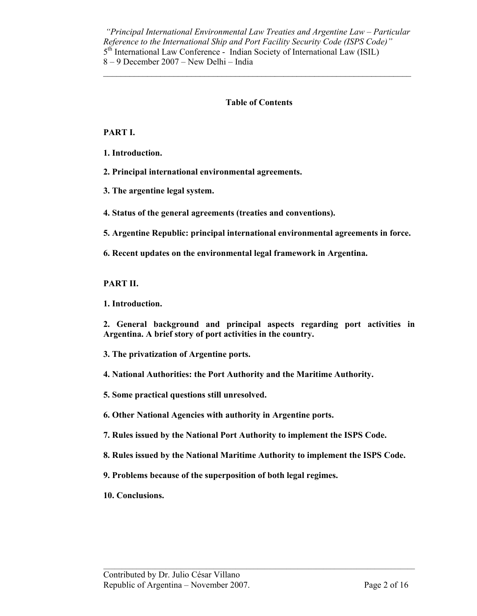$\mathcal{L}_\mathcal{L} = \mathcal{L}_\mathcal{L} = \mathcal{L}_\mathcal{L} = \mathcal{L}_\mathcal{L} = \mathcal{L}_\mathcal{L} = \mathcal{L}_\mathcal{L} = \mathcal{L}_\mathcal{L} = \mathcal{L}_\mathcal{L} = \mathcal{L}_\mathcal{L} = \mathcal{L}_\mathcal{L} = \mathcal{L}_\mathcal{L} = \mathcal{L}_\mathcal{L} = \mathcal{L}_\mathcal{L} = \mathcal{L}_\mathcal{L} = \mathcal{L}_\mathcal{L} = \mathcal{L}_\mathcal{L} = \mathcal{L}_\mathcal{L}$ 

## **Table of Contents**

**PART I.** 

**1. Introduction.** 

**2. Principal international environmental agreements.** 

**3. The argentine legal system.** 

**4. Status of the general agreements (treaties and conventions).** 

**5. Argentine Republic: principal international environmental agreements in force.** 

**6. Recent updates on the environmental legal framework in Argentina.** 

**PART II.** 

**1. Introduction.** 

**2. General background and principal aspects regarding port activities in Argentina. A brief story of port activities in the country.** 

**3. The privatization of Argentine ports.** 

**4. National Authorities: the Port Authority and the Maritime Authority.** 

**5. Some practical questions still unresolved.** 

**6. Other National Agencies with authority in Argentine ports.** 

**7. Rules issued by the National Port Authority to implement the ISPS Code.** 

**8. Rules issued by the National Maritime Authority to implement the ISPS Code.** 

**9. Problems because of the superposition of both legal regimes.** 

**10. Conclusions.**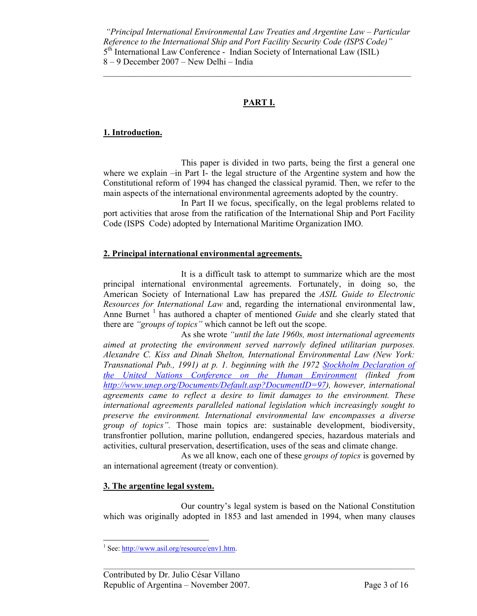$\mathcal{L}_\mathcal{L} = \mathcal{L}_\mathcal{L} = \mathcal{L}_\mathcal{L} = \mathcal{L}_\mathcal{L} = \mathcal{L}_\mathcal{L} = \mathcal{L}_\mathcal{L} = \mathcal{L}_\mathcal{L} = \mathcal{L}_\mathcal{L} = \mathcal{L}_\mathcal{L} = \mathcal{L}_\mathcal{L} = \mathcal{L}_\mathcal{L} = \mathcal{L}_\mathcal{L} = \mathcal{L}_\mathcal{L} = \mathcal{L}_\mathcal{L} = \mathcal{L}_\mathcal{L} = \mathcal{L}_\mathcal{L} = \mathcal{L}_\mathcal{L}$ 

# **PART I.**

## **1. Introduction.**

 This paper is divided in two parts, being the first a general one where we explain –in Part I- the legal structure of the Argentine system and how the Constitutional reform of 1994 has changed the classical pyramid. Then, we refer to the main aspects of the international environmental agreements adopted by the country.

 In Part II we focus, specifically, on the legal problems related to port activities that arose from the ratification of the International Ship and Port Facility Code (ISPS Code) adopted by International Maritime Organization IMO.

#### **2. Principal international environmental agreements.**

 It is a difficult task to attempt to summarize which are the most principal international environmental agreements. Fortunately, in doing so, the American Society of International Law has prepared the *ASIL Guide to Electronic Resources for International Law* and, regarding the international environmental law, Anne Burnet<sup>1</sup> has authored a chapter of mentioned *Guide* and she clearly stated that there are *"groups of topics"* which cannot be left out the scope.

 As she wrote *"until the late 1960s, most international agreements aimed at protecting the environment served narrowly defined utilitarian purposes. Alexandre C. Kiss and Dinah Shelton, International Environmental Law (New York: Transnational Pub., 1991) at p. 1. beginning with the 1972 Stockholm Declaration of the United Nations Conference on the Human Environment (linked from http://www.unep.org/Documents/Default.asp?DocumentID=97), however, international agreements came to reflect a desire to limit damages to the environment. These international agreements paralleled national legislation which increasingly sought to preserve the environment. International environmental law encompasses a diverse group of topics".* Those main topics are: sustainable development, biodiversity, transfrontier pollution, marine pollution, endangered species, hazardous materials and activities, cultural preservation, desertification, uses of the seas and climate change.

 As we all know, each one of these *groups of topics* is governed by an international agreement (treaty or convention).

## **3. The argentine legal system.**

 Our country's legal system is based on the National Constitution which was originally adopted in 1853 and last amended in 1994, when many clauses

<sup>&</sup>lt;sup>1</sup> See: http://www.asil.org/resource/env1.htm.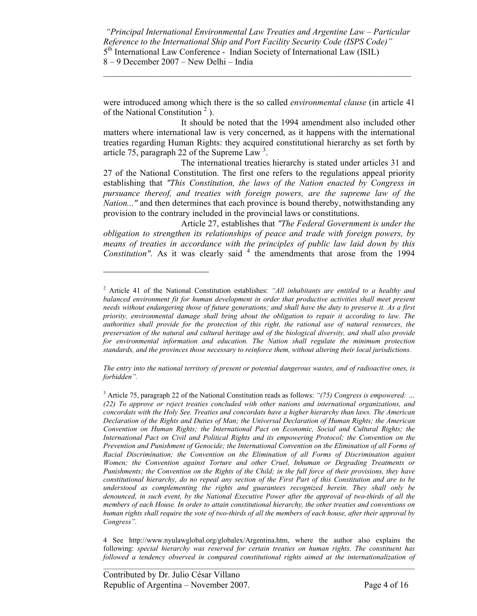$\mathcal{L}_\mathcal{L} = \mathcal{L}_\mathcal{L} = \mathcal{L}_\mathcal{L} = \mathcal{L}_\mathcal{L} = \mathcal{L}_\mathcal{L} = \mathcal{L}_\mathcal{L} = \mathcal{L}_\mathcal{L} = \mathcal{L}_\mathcal{L} = \mathcal{L}_\mathcal{L} = \mathcal{L}_\mathcal{L} = \mathcal{L}_\mathcal{L} = \mathcal{L}_\mathcal{L} = \mathcal{L}_\mathcal{L} = \mathcal{L}_\mathcal{L} = \mathcal{L}_\mathcal{L} = \mathcal{L}_\mathcal{L} = \mathcal{L}_\mathcal{L}$ 

were introduced among which there is the so called *environmental clause* (in article 41 of the National Constitution<sup>2</sup>).

 It should be noted that the 1994 amendment also included other matters where international law is very concerned, as it happens with the international treaties regarding Human Rights: they acquired constitutional hierarchy as set forth by article 75, paragraph 22 of the Supreme Law  $3$ .

 The international treaties hierarchy is stated under articles 31 and 27 of the National Constitution. The first one refers to the regulations appeal priority establishing that *"This Constitution, the laws of the Nation enacted by Congress in pursuance thereof, and treaties with foreign powers, are the supreme law of the Nation..."* and then determines that each province is bound thereby, notwithstanding any provision to the contrary included in the provincial laws or constitutions.

 Article 27, establishes that *"The Federal Government is under the obligation to strengthen its relationships of peace and trade with foreign powers, by means of treaties in accordance with the principles of public law laid down by this*  Constitution". As it was clearly said <sup>4</sup> the amendments that arose from the 1994

*The entry into the national territory of present or potential dangerous wastes, and of radioactive ones, is forbidden".* 

<sup>2</sup> Article 41 of the National Constitution establishes: *"All inhabitants are entitled to a healthy and balanced environment fit for human development in order that productive activities shall meet present needs without endangering those of future generations; and shall have the duty to preserve it. As a first priority, environmental damage shall bring about the obligation to repair it according to law. The authorities shall provide for the protection of this right, the rational use of natural resources, the preservation of the natural and cultural heritage and of the biological diversity, and shall also provide*  for environmental information and education. The Nation shall regulate the minimum protection *standards, and the provinces those necessary to reinforce them, without altering their local jurisdictions.* 

<sup>&</sup>lt;sup>3</sup> Article 75, paragraph 22 of the National Constitution reads as follows: "(75) Congress is empowered: ... *(22) To approve or reject treaties concluded with other nations and international organizations, and concordats with the Holy See. Treaties and concordats have a higher hierarchy than laws. The American Declaration of the Rights and Duties of Man; the Universal Declaration of Human Rights; the American Convention on Human Rights; the International Pact on Economic, Social and Cultural Rights; the International Pact on Civil and Political Rights and its empowering Protocol; the Convention on the*  Prevention and Punishment of Genocide; the International Convention on the Elimination of all Forms of *Racial Discrimination; the Convention on the Elimination of all Forms of Discrimination against Women; the Convention against Torture and other Cruel, Inhuman or Degrading Treatments or Punishments; the Convention on the Rights of the Child; in the full force of their provisions, they have constitutional hierarchy, do no repeal any section of the First Part of this Constitution and are to be understood as complementing the rights and guarantees recognized herein. They shall only be denounced, in such event, by the National Executive Power after the approval of two-thirds of all the members of each House. In order to attain constitutional hierarchy, the other treaties and conventions on human rights shall require the vote of two-thirds of all the members of each house, after their approval by Congress".*

<sup>4</sup> See http://www.nyulawglobal.org/globalex/Argentina.htm, where the author also explains the following: *special hierarchy was reserved for certain treaties on human rights. The constituent has followed a tendency observed in compared constitutional rights aimed at the internationalization of*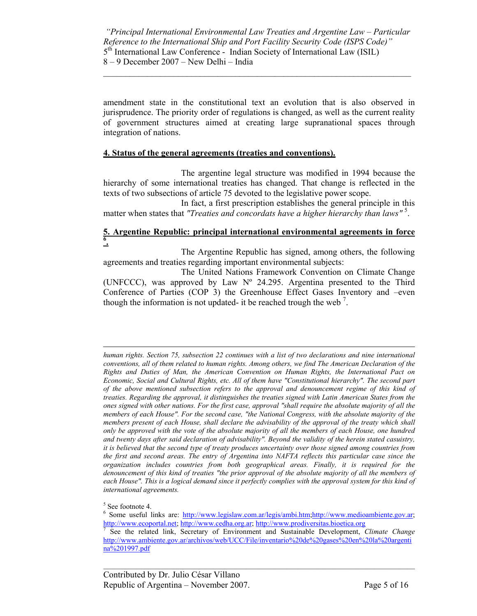$\mathcal{L}_\mathcal{L} = \mathcal{L}_\mathcal{L} = \mathcal{L}_\mathcal{L} = \mathcal{L}_\mathcal{L} = \mathcal{L}_\mathcal{L} = \mathcal{L}_\mathcal{L} = \mathcal{L}_\mathcal{L} = \mathcal{L}_\mathcal{L} = \mathcal{L}_\mathcal{L} = \mathcal{L}_\mathcal{L} = \mathcal{L}_\mathcal{L} = \mathcal{L}_\mathcal{L} = \mathcal{L}_\mathcal{L} = \mathcal{L}_\mathcal{L} = \mathcal{L}_\mathcal{L} = \mathcal{L}_\mathcal{L} = \mathcal{L}_\mathcal{L}$ 

amendment state in the constitutional text an evolution that is also observed in jurisprudence. The priority order of regulations is changed, as well as the current reality of government structures aimed at creating large supranational spaces through integration of nations.

#### **4. Status of the general agreements (treaties and conventions).**

 The argentine legal structure was modified in 1994 because the hierarchy of some international treaties has changed. That change is reflected in the texts of two subsections of article 75 devoted to the legislative power scope.

 In fact, a first prescription establishes the general principle in this matter when states that "*Treaties and concordats have a higher hierarchy than laws*"<sup>5</sup>.

## **5. Argentine Republic: principal international environmental agreements in force 6 .**

 The Argentine Republic has signed, among others, the following agreements and treaties regarding important environmental subjects:

 The United Nations Framework Convention on Climate Change (UNFCCC), was approved by Law Nº 24.295. Argentina presented to the Third Conference of Parties (COP 3) the Greenhouse Effect Gases Inventory and –even though the information is not updated- it be reached trough the web<sup>7</sup>.

*human rights. Section 75, subsection 22 continues with a list of two declarations and nine international conventions, all of them related to human rights. Among others, we find The American Declaration of the Rights and Duties of Man, the American Convention on Human Rights, the International Pact on Economic, Social and Cultural Rights, etc. All of them have "Constitutional hierarchy". The second part of the above mentioned subsection refers to the approval and denouncement regime of this kind of treaties. Regarding the approval, it distinguishes the treaties signed with Latin American States from the ones signed with other nations. For the first case, approval "shall require the absolute majority of all the members of each House". For the second case, "the National Congress, with the absolute majority of the members present of each House, shall declare the advisability of the approval of the treaty which shall only be approved with the vote of the absolute majority of all the members of each House, one hundred and twenty days after said declaration of advisability". Beyond the validity of the herein stated casuistry, it is believed that the second type of treaty produces uncertainty over those signed among countries from the first and second areas. The entry of Argentina into NAFTA reflects this particular case since the organization includes countries from both geographical areas. Finally, it is required for the denouncement of this kind of treaties "the prior approval of the absolute majority of all the members of*  each House". This is a logical demand since it perfectly complies with the approval system for this kind of *international agreements.*

 $\overline{a}$ 

<sup>6</sup> Some useful links are: http://www.legislaw.com.ar/legis/ambi.htm;http://www.medioambiente.gov.ar; http://www.ecoportal.net; http://www.cedha.org.ar; http://www.prodiversitas.bioetica.org <sup>7</sup>

 See the related link, Secretary of Environment and Sustainable Development, *Climate Change*  http://www.ambiente.gov.ar/archivos/web/UCC/File/inventario%20de%20gases%20en%20la%20argenti na%201997.pdf

<sup>5</sup> See footnote 4.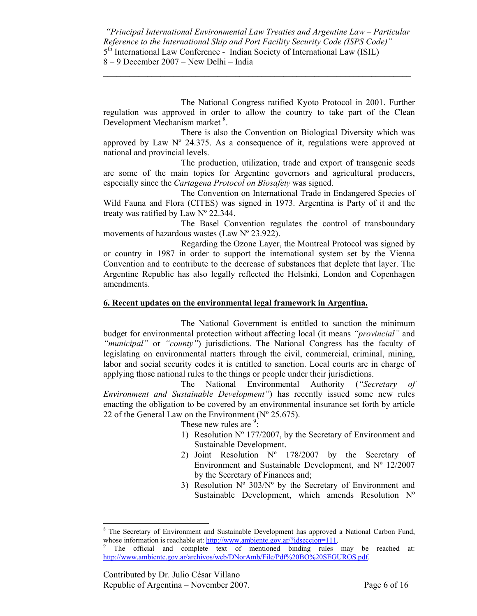$\mathcal{L}_\mathcal{L} = \mathcal{L}_\mathcal{L} = \mathcal{L}_\mathcal{L} = \mathcal{L}_\mathcal{L} = \mathcal{L}_\mathcal{L} = \mathcal{L}_\mathcal{L} = \mathcal{L}_\mathcal{L} = \mathcal{L}_\mathcal{L} = \mathcal{L}_\mathcal{L} = \mathcal{L}_\mathcal{L} = \mathcal{L}_\mathcal{L} = \mathcal{L}_\mathcal{L} = \mathcal{L}_\mathcal{L} = \mathcal{L}_\mathcal{L} = \mathcal{L}_\mathcal{L} = \mathcal{L}_\mathcal{L} = \mathcal{L}_\mathcal{L}$ 

 The National Congress ratified Kyoto Protocol in 2001. Further regulation was approved in order to allow the country to take part of the Clean Development Mechanism market <sup>8</sup>.

 There is also the Convention on Biological Diversity which was approved by Law  $N^{\circ}$  24.375. As a consequence of it, regulations were approved at national and provincial levels.

 The production, utilization, trade and export of transgenic seeds are some of the main topics for Argentine governors and agricultural producers, especially since the *Cartagena Protocol on Biosafety* was signed.

 The Convention on International Trade in Endangered Species of Wild Fauna and Flora (CITES) was signed in 1973. Argentina is Party of it and the treaty was ratified by Law Nº 22.344.

 The Basel Convention regulates the control of transboundary movements of hazardous wastes (Law Nº 23.922).

 Regarding the Ozone Layer, the Montreal Protocol was signed by or country in 1987 in order to support the international system set by the Vienna Convention and to contribute to the decrease of substances that deplete that layer. The Argentine Republic has also legally reflected the Helsinki, London and Copenhagen amendments.

## **6. Recent updates on the environmental legal framework in Argentina.**

 The National Government is entitled to sanction the minimum budget for environmental protection without affecting local (it means *"provincial"* and *"municipal"* or *"county"*) jurisdictions. The National Congress has the faculty of legislating on environmental matters through the civil, commercial, criminal, mining, labor and social security codes it is entitled to sanction. Local courts are in charge of applying those national rules to the things or people under their jurisdictions.

 The National Environmental Authority (*"Secretary of Environment and Sustainable Development"*) has recently issued some new rules enacting the obligation to be covered by an environmental insurance set forth by article 22 of the General Law on the Environment ( $N^{\circ}$  25.675).

These new rules are  $\frac{9}{2}$ .

- 1) Resolution Nº 177/2007, by the Secretary of Environment and Sustainable Development.
- 2) Joint Resolution Nº 178/2007 by the Secretary of Environment and Sustainable Development, and Nº 12/2007 by the Secretary of Finances and;
- 3) Resolution  $N^{\circ}$  303/ $N^{\circ}$  by the Secretary of Environment and Sustainable Development, which amends Resolution Nº

 $\overline{a}$ 

<sup>&</sup>lt;sup>8</sup> The Secretary of Environment and Sustainable Development has approved a National Carbon Fund, whose information is reachable at: http://www.ambiente.gov.ar/?idseccion=111.

The official and complete text of mentioned binding rules may be reached at: http://www.ambiente.gov.ar/archivos/web/DNorAmb/File/Pdf%20BO%20SEGUROS.pdf.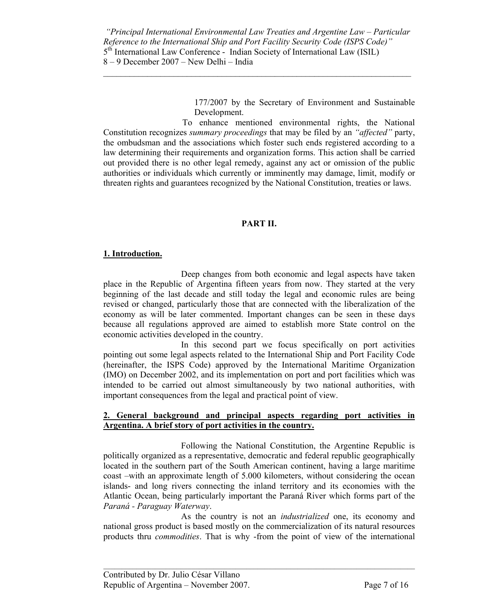8 – 9 December 2007 – New Delhi – India  $\mathcal{L}_\mathcal{L} = \mathcal{L}_\mathcal{L} = \mathcal{L}_\mathcal{L} = \mathcal{L}_\mathcal{L} = \mathcal{L}_\mathcal{L} = \mathcal{L}_\mathcal{L} = \mathcal{L}_\mathcal{L} = \mathcal{L}_\mathcal{L} = \mathcal{L}_\mathcal{L} = \mathcal{L}_\mathcal{L} = \mathcal{L}_\mathcal{L} = \mathcal{L}_\mathcal{L} = \mathcal{L}_\mathcal{L} = \mathcal{L}_\mathcal{L} = \mathcal{L}_\mathcal{L} = \mathcal{L}_\mathcal{L} = \mathcal{L}_\mathcal{L}$ 

> 177/2007 by the Secretary of Environment and Sustainable Development.

To enhance mentioned environmental rights, the National Constitution recognizes *summary proceedings* that may be filed by an *"affected"* party, the ombudsman and the associations which foster such ends registered according to a law determining their requirements and organization forms. This action shall be carried out provided there is no other legal remedy, against any act or omission of the public authorities or individuals which currently or imminently may damage, limit, modify or threaten rights and guarantees recognized by the National Constitution, treaties or laws.

## **PART II.**

## **1. Introduction.**

 Deep changes from both economic and legal aspects have taken place in the Republic of Argentina fifteen years from now. They started at the very beginning of the last decade and still today the legal and economic rules are being revised or changed, particularly those that are connected with the liberalization of the economy as will be later commented. Important changes can be seen in these days because all regulations approved are aimed to establish more State control on the economic activities developed in the country.

 In this second part we focus specifically on port activities pointing out some legal aspects related to the International Ship and Port Facility Code (hereinafter, the ISPS Code) approved by the International Maritime Organization (IMO) on December 2002, and its implementation on port and port facilities which was intended to be carried out almost simultaneously by two national authorities, with important consequences from the legal and practical point of view.

#### **2. General background and principal aspects regarding port activities in Argentina. A brief story of port activities in the country.**

 Following the National Constitution, the Argentine Republic is politically organized as a representative, democratic and federal republic geographically located in the southern part of the South American continent, having a large maritime coast –with an approximate length of 5.000 kilometers, without considering the ocean islands- and long rivers connecting the inland territory and its economies with the Atlantic Ocean, being particularly important the Paraná River which forms part of the *Paraná - Paraguay Waterway*.

 As the country is not an *industrialized* one, its economy and national gross product is based mostly on the commercialization of its natural resources products thru *commodities*. That is why -from the point of view of the international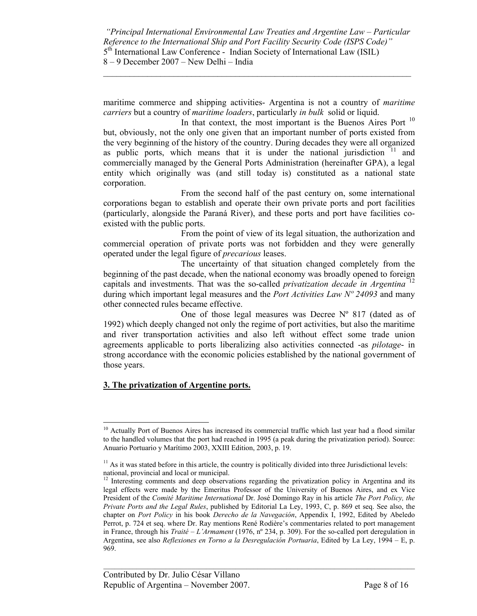$\mathcal{L}_\mathcal{L} = \mathcal{L}_\mathcal{L} = \mathcal{L}_\mathcal{L} = \mathcal{L}_\mathcal{L} = \mathcal{L}_\mathcal{L} = \mathcal{L}_\mathcal{L} = \mathcal{L}_\mathcal{L} = \mathcal{L}_\mathcal{L} = \mathcal{L}_\mathcal{L} = \mathcal{L}_\mathcal{L} = \mathcal{L}_\mathcal{L} = \mathcal{L}_\mathcal{L} = \mathcal{L}_\mathcal{L} = \mathcal{L}_\mathcal{L} = \mathcal{L}_\mathcal{L} = \mathcal{L}_\mathcal{L} = \mathcal{L}_\mathcal{L}$ 

maritime commerce and shipping activities- Argentina is not a country of *maritime carriers* but a country of *maritime loaders*, particularly *in bulk* solid or liquid.

In that context, the most important is the Buenos Aires Port  $10$ but, obviously, not the only one given that an important number of ports existed from the very beginning of the history of the country. During decades they were all organized as public ports, which means that it is under the national jurisdiction  $11$  and commercially managed by the General Ports Administration (hereinafter GPA), a legal entity which originally was (and still today is) constituted as a national state corporation.

 From the second half of the past century on, some international corporations began to establish and operate their own private ports and port facilities (particularly, alongside the Paraná River), and these ports and port have facilities coexisted with the public ports.

 From the point of view of its legal situation, the authorization and commercial operation of private ports was not forbidden and they were generally operated under the legal figure of *precarious* leases.

 The uncertainty of that situation changed completely from the beginning of the past decade, when the national economy was broadly opened to foreign capitals and investments. That was the so-called *privatization decade in Argentina* <sup>12</sup> during which important legal measures and the *Port Activities Law Nº 24093* and many other connected rules became effective.

One of those legal measures was Decree  $N^{\circ}$  817 (dated as of 1992) which deeply changed not only the regime of port activities, but also the maritime and river transportation activities and also left without effect some trade union agreements applicable to ports liberalizing also activities connected -as *pilotage*- in strong accordance with the economic policies established by the national government of those years.

## **3. The privatization of Argentine ports.**

 $\overline{a}$ 

 $10$  Actually Port of Buenos Aires has increased its commercial traffic which last year had a flood similar to the handled volumes that the port had reached in 1995 (a peak during the privatization period). Source: Anuario Portuario y Marítimo 2003, XXIII Edition, 2003, p. 19.

 $<sup>11</sup>$  As it was stated before in this article, the country is politically divided into three Jurisdictional levels:</sup> national, provincial and local or municipal.

 $12$  Interesting comments and deep observations regarding the privatization policy in Argentina and its legal effects were made by the Emeritus Professor of the University of Buenos Aires, and ex Vice President of the *Comité Maritime International* Dr. José Domingo Ray in his article *The Port Policy, the Private Ports and the Legal Rules*, published by Editorial La Ley, 1993, C, p. 869 et seq. See also, the chapter on *Port Policy* in his book *Derecho de la Navegación*, Appendix I, 1992, Edited by Abeledo Perrot, p. 724 et seq. where Dr. Ray mentions René Rodière's commentaries related to port management in France, through his *Traité – L'Armament* (1976, nº 234, p. 309). For the so-called port deregulation in Argentina, see also *Reflexiones en Torno a la Desregulación Portuaria*, Edited by La Ley, 1994 – E, p. 969.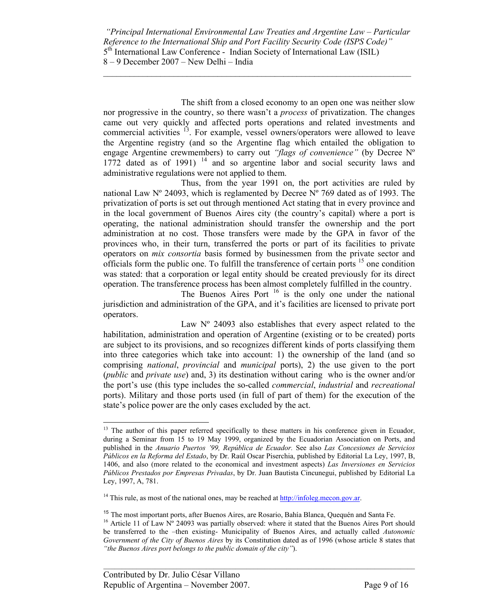$\mathcal{L}_\mathcal{L} = \mathcal{L}_\mathcal{L} = \mathcal{L}_\mathcal{L} = \mathcal{L}_\mathcal{L} = \mathcal{L}_\mathcal{L} = \mathcal{L}_\mathcal{L} = \mathcal{L}_\mathcal{L} = \mathcal{L}_\mathcal{L} = \mathcal{L}_\mathcal{L} = \mathcal{L}_\mathcal{L} = \mathcal{L}_\mathcal{L} = \mathcal{L}_\mathcal{L} = \mathcal{L}_\mathcal{L} = \mathcal{L}_\mathcal{L} = \mathcal{L}_\mathcal{L} = \mathcal{L}_\mathcal{L} = \mathcal{L}_\mathcal{L}$ 

 The shift from a closed economy to an open one was neither slow nor progressive in the country, so there wasn't a *process* of privatization. The changes came out very quickly and affected ports operations and related investments and commercial activities 13. For example, vessel owners/operators were allowed to leave the Argentine registry (and so the Argentine flag which entailed the obligation to engage Argentine crewmembers) to carry out *"flags of convenience"* (by Decree Nº  $1772$  dated as of 1991)<sup>14</sup> and so argentine labor and social security laws and administrative regulations were not applied to them.

 Thus, from the year 1991 on, the port activities are ruled by national Law  $N^{\circ}$  24093, which is reglamented by Decree  $N^{\circ}$  769 dated as of 1993. The privatization of ports is set out through mentioned Act stating that in every province and in the local government of Buenos Aires city (the country's capital) where a port is operating, the national administration should transfer the ownership and the port administration at no cost. Those transfers were made by the GPA in favor of the provinces who, in their turn, transferred the ports or part of its facilities to private operators on *mix consortia* basis formed by businessmen from the private sector and officials form the public one. To fulfill the transference of certain ports  $15$  one condition was stated: that a corporation or legal entity should be created previously for its direct operation. The transference process has been almost completely fulfilled in the country.

The Buenos Aires Port  $16$  is the only one under the national jurisdiction and administration of the GPA, and it's facilities are licensed to private port operators.

Law N° 24093 also establishes that every aspect related to the habilitation, administration and operation of Argentine (existing or to be created) ports are subject to its provisions, and so recognizes different kinds of ports classifying them into three categories which take into account: 1) the ownership of the land (and so comprising *national*, *provincial* and *municipal* ports), 2) the use given to the port (*public* and *private use*) and, 3) its destination without caring who is the owner and/or the port's use (this type includes the so-called *commercial*, *industrial* and *recreational*  ports). Military and those ports used (in full of part of them) for the execution of the state's police power are the only cases excluded by the act.

 $\overline{a}$ <sup>13</sup> The author of this paper referred specifically to these matters in his conference given in Ecuador, during a Seminar from 15 to 19 May 1999, organized by the Ecuadorian Association on Ports, and published in the *Anuario Puertos '99, República de Ecuador.* See also *Las Concesiones de Servicios Públicos en la Reforma del Estado*, by Dr. Raúl Oscar Piserchia, published by Editorial La Ley, 1997, B, 1406, and also (more related to the economical and investment aspects) *Las Inversiones en Servicios Públicos Prestados por Empresas Privadas*, by Dr. Juan Bautista Cincunegui, published by Editorial La Ley, 1997, A, 781.

<sup>&</sup>lt;sup>14</sup> This rule, as most of the national ones, may be reached at  $\frac{http://infoleg{mecon.gov.ar.}}{http://infoleg{mecon.gov.ar.}}$ 

<sup>&</sup>lt;sup>15</sup> The most important ports, after Buenos Aires, are Rosario, Bahía Blanca, Quequén and Santa Fe.<br><sup>16</sup> Article 11 of Law N° 24093 was partially observed: where it stated that the Buenos Aires Port should

be transferred to the –then existing- Municipality of Buenos Aires, and actually called *Autonomic Government of the City of Buenos Aires* by its Constitution dated as of 1996 (whose article 8 states that *"the Buenos Aires port belongs to the public domain of the city"*).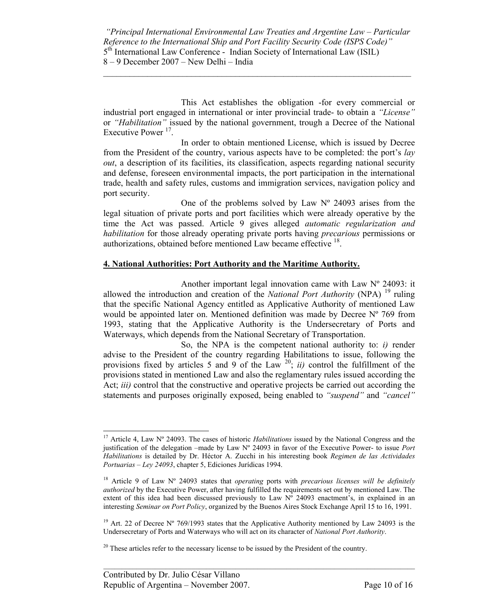$\mathcal{L}_\mathcal{L} = \mathcal{L}_\mathcal{L} = \mathcal{L}_\mathcal{L} = \mathcal{L}_\mathcal{L} = \mathcal{L}_\mathcal{L} = \mathcal{L}_\mathcal{L} = \mathcal{L}_\mathcal{L} = \mathcal{L}_\mathcal{L} = \mathcal{L}_\mathcal{L} = \mathcal{L}_\mathcal{L} = \mathcal{L}_\mathcal{L} = \mathcal{L}_\mathcal{L} = \mathcal{L}_\mathcal{L} = \mathcal{L}_\mathcal{L} = \mathcal{L}_\mathcal{L} = \mathcal{L}_\mathcal{L} = \mathcal{L}_\mathcal{L}$ 

 This Act establishes the obligation -for every commercial or industrial port engaged in international or inter provincial trade- to obtain a *"License"*  or *"Habilitation"* issued by the national government, trough a Decree of the National Executive Power<sup>17</sup>.

 In order to obtain mentioned License, which is issued by Decree from the President of the country, various aspects have to be completed: the port's *lay out*, a description of its facilities, its classification, aspects regarding national security and defense, foreseen environmental impacts, the port participation in the international trade, health and safety rules, customs and immigration services, navigation policy and port security.

One of the problems solved by Law  $N^{\circ}$  24093 arises from the legal situation of private ports and port facilities which were already operative by the time the Act was passed. Article 9 gives alleged *automatic regularization and habilitation* for those already operating private ports having *precarious* permissions or authorizations, obtained before mentioned Law became effective <sup>18</sup>.

## **4. National Authorities: Port Authority and the Maritime Authority.**

 Another important legal innovation came with Law Nº 24093: it allowed the introduction and creation of the *National Port Authority* (NPA) 19 ruling that the specific National Agency entitled as Applicative Authority of mentioned Law would be appointed later on. Mentioned definition was made by Decree  $N^{\circ}$  769 from 1993, stating that the Applicative Authority is the Undersecretary of Ports and Waterways, which depends from the National Secretary of Transportation.

 So, the NPA is the competent national authority to: *i)* render advise to the President of the country regarding Habilitations to issue, following the provisions fixed by articles 5 and 9 of the Law  $^{20}$ ; *ii*) control the fulfillment of the provisions stated in mentioned Law and also the reglamentary rules issued according the Act; *iii)* control that the constructive and operative projects be carried out according the statements and purposes originally exposed, being enabled to *"suspend"* and *"cancel"*

 $\overline{a}$ 

<sup>17</sup> Article 4, Law Nº 24093. The cases of historic *Habilitations* issued by the National Congress and the justification of the delegation –made by Law Nº 24093 in favor of the Executive Power- to issue *Port Habilitations* is detailed by Dr. Héctor A. Zucchi in his interesting book *Regimen de las Actividades Portuarias – Ley 24093*, chapter 5, Ediciones Jurídicas 1994.

<sup>18</sup> Article 9 of Law Nº 24093 states that *operating* ports with *precarious licenses will be definitely authorized* by the Executive Power, after having fulfilled the requirements set out by mentioned Law. The extent of this idea had been discussed previously to Law  $N^{\circ}$  24093 enactment's, in explained in an interesting *Seminar on Port Policy*, organized by the Buenos Aires Stock Exchange April 15 to 16, 1991.

<sup>&</sup>lt;sup>19</sup> Art. 22 of Decree N° 769/1993 states that the Applicative Authority mentioned by Law 24093 is the Undersecretary of Ports and Waterways who will act on its character of *National Port Authority*.

<sup>&</sup>lt;sup>20</sup> These articles refer to the necessary license to be issued by the President of the country.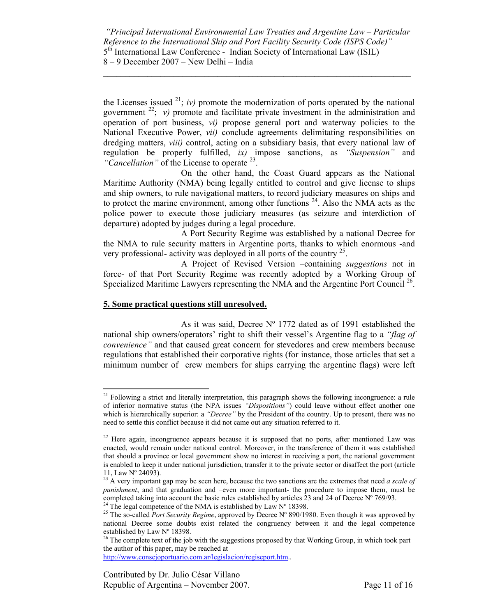$\mathcal{L}_\mathcal{L} = \mathcal{L}_\mathcal{L} = \mathcal{L}_\mathcal{L} = \mathcal{L}_\mathcal{L} = \mathcal{L}_\mathcal{L} = \mathcal{L}_\mathcal{L} = \mathcal{L}_\mathcal{L} = \mathcal{L}_\mathcal{L} = \mathcal{L}_\mathcal{L} = \mathcal{L}_\mathcal{L} = \mathcal{L}_\mathcal{L} = \mathcal{L}_\mathcal{L} = \mathcal{L}_\mathcal{L} = \mathcal{L}_\mathcal{L} = \mathcal{L}_\mathcal{L} = \mathcal{L}_\mathcal{L} = \mathcal{L}_\mathcal{L}$ 

the Licenses issued  $2^1$ ; *iv*) promote the modernization of ports operated by the national government  $^{22}$ ; *v*) promote and facilitate private investment in the administration and operation of port business, *vi)* propose general port and waterway policies to the National Executive Power, *vii)* conclude agreements delimitating responsibilities on dredging matters, *viii)* control, acting on a subsidiary basis, that every national law of regulation be properly fulfilled, *ix)* impose sanctions, as *"Suspension"* and *"Cancellation"* of the License to operate 23.

 On the other hand, the Coast Guard appears as the National Maritime Authority (NMA) being legally entitled to control and give license to ships and ship owners, to rule navigational matters, to record judiciary measures on ships and to protect the marine environment, among other functions  $24$ . Also the NMA acts as the police power to execute those judiciary measures (as seizure and interdiction of departure) adopted by judges during a legal procedure.

 A Port Security Regime was established by a national Decree for the NMA to rule security matters in Argentine ports, thanks to which enormous -and very professional- activity was deployed in all ports of the country  $2^5$ .

 A Project of Revised Version –containing *suggestions* not in force- of that Port Security Regime was recently adopted by a Working Group of Specialized Maritime Lawyers representing the NMA and the Argentine Port Council<sup>26</sup>.

#### **5. Some practical questions still unresolved.**

 As it was said, Decree Nº 1772 dated as of 1991 established the national ship owners/operators' right to shift their vessel's Argentine flag to a *"flag of convenience"* and that caused great concern for stevedores and crew members because regulations that established their corporative rights (for instance, those articles that set a minimum number of crew members for ships carrying the argentine flags) were left

http://www.consejoportuario.com.ar/legislacion/regiseport.htm..

<sup>-</sup><sup>21</sup> Following a strict and literally interpretation, this paragraph shows the following incongruence: a rule of inferior normative status (the NPA issues *"Dispositions"*) could leave without effect another one which is hierarchically superior: a *"Decree"* by the President of the country. Up to present, there was no need to settle this conflict because it did not came out any situation referred to it.

<sup>&</sup>lt;sup>22</sup> Here again, incongruence appears because it is supposed that no ports, after mentioned Law was enacted, would remain under national control. Moreover, in the transference of them it was established that should a province or local government show no interest in receiving a port, the national government is enabled to keep it under national jurisdiction, transfer it to the private sector or disaffect the port (article 11, Law Nº 24093).

<sup>23</sup> A very important gap may be seen here, because the two sanctions are the extremes that need *a scale of punishment*, and that graduation and –even more important- the procedure to impose them, must be completed taking into account the basic rules established by articles  $\hat{2}3$  and  $\hat{2}4$  of Decree N° 769/93.

<sup>&</sup>lt;sup>24</sup> The legal competence of the NMA is established by Law  $N^{\circ}$  18398.

<sup>&</sup>lt;sup>25</sup> The so-called *Port Security Regime*, approved by Decree N° 890/1980. Even though it was approved by national Decree some doubts exist related the congruency between it and the legal competence established by Law Nº 18398.

 $^{26}$  The complete text of the job with the suggestions proposed by that Working Group, in which took part the author of this paper, may be reached at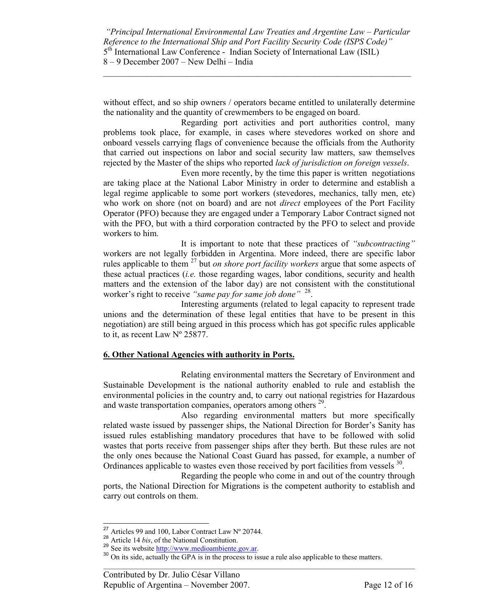$\mathcal{L}_\mathcal{L} = \mathcal{L}_\mathcal{L} = \mathcal{L}_\mathcal{L} = \mathcal{L}_\mathcal{L} = \mathcal{L}_\mathcal{L} = \mathcal{L}_\mathcal{L} = \mathcal{L}_\mathcal{L} = \mathcal{L}_\mathcal{L} = \mathcal{L}_\mathcal{L} = \mathcal{L}_\mathcal{L} = \mathcal{L}_\mathcal{L} = \mathcal{L}_\mathcal{L} = \mathcal{L}_\mathcal{L} = \mathcal{L}_\mathcal{L} = \mathcal{L}_\mathcal{L} = \mathcal{L}_\mathcal{L} = \mathcal{L}_\mathcal{L}$ 

without effect, and so ship owners / operators became entitled to unilaterally determine the nationality and the quantity of crewmembers to be engaged on board.

 Regarding port activities and port authorities control, many problems took place, for example, in cases where stevedores worked on shore and onboard vessels carrying flags of convenience because the officials from the Authority that carried out inspections on labor and social security law matters, saw themselves rejected by the Master of the ships who reported *lack of jurisdiction on foreign vessels*.

 Even more recently, by the time this paper is written negotiations are taking place at the National Labor Ministry in order to determine and establish a legal regime applicable to some port workers (stevedores, mechanics, tally men, etc) who work on shore (not on board) and are not *direct* employees of the Port Facility Operator (PFO) because they are engaged under a Temporary Labor Contract signed not with the PFO, but with a third corporation contracted by the PFO to select and provide workers to him.

 It is important to note that these practices of *"subcontracting"* workers are not legally forbidden in Argentina. More indeed, there are specific labor rules applicable to them 27 but *on shore port facility workers* argue that some aspects of these actual practices (*i.e.* those regarding wages, labor conditions, security and health matters and the extension of the labor day) are not consistent with the constitutional worker's right to receive *"same pay for same job done"* 28.

 Interesting arguments (related to legal capacity to represent trade unions and the determination of these legal entities that have to be present in this negotiation) are still being argued in this process which has got specific rules applicable to it, as recent Law Nº 25877.

#### **6. Other National Agencies with authority in Ports.**

 Relating environmental matters the Secretary of Environment and Sustainable Development is the national authority enabled to rule and establish the environmental policies in the country and, to carry out national registries for Hazardous and waste transportation companies, operators among others <sup>29</sup>.

 Also regarding environmental matters but more specifically related waste issued by passenger ships, the National Direction for Border's Sanity has issued rules establishing mandatory procedures that have to be followed with solid wastes that ports receive from passenger ships after they berth. But these rules are not the only ones because the National Coast Guard has passed, for example, a number of Ordinances applicable to wastes even those received by port facilities from vessels  $^{30}$ .

 Regarding the people who come in and out of the country through ports, the National Direction for Migrations is the competent authority to establish and carry out controls on them.

<sup>&</sup>lt;sup>27</sup> Articles 99 and 100, Labor Contract Law  $N^{\circ}$  20744.

<sup>&</sup>lt;sup>28</sup> Article 14 *bis*, of the National Constitution.<br><sup>29</sup> See its website <u>http://www.medioambiente.gov.ar</u>.<br><sup>30</sup> On its side, actually the GPA is in the process to issue a rule also applicable to these matters.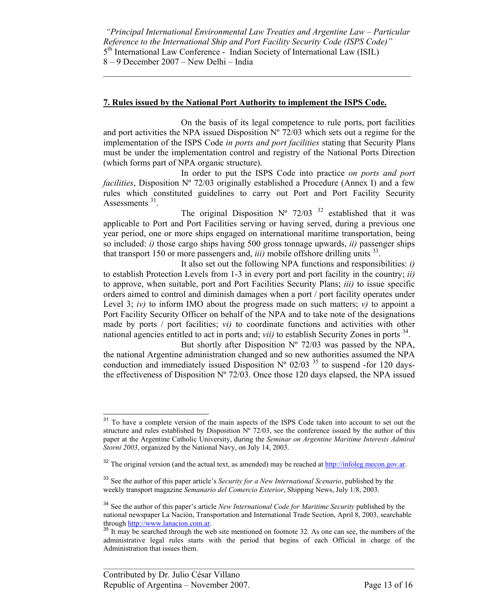$\mathcal{L}_\mathcal{L} = \mathcal{L}_\mathcal{L} = \mathcal{L}_\mathcal{L} = \mathcal{L}_\mathcal{L} = \mathcal{L}_\mathcal{L} = \mathcal{L}_\mathcal{L} = \mathcal{L}_\mathcal{L} = \mathcal{L}_\mathcal{L} = \mathcal{L}_\mathcal{L} = \mathcal{L}_\mathcal{L} = \mathcal{L}_\mathcal{L} = \mathcal{L}_\mathcal{L} = \mathcal{L}_\mathcal{L} = \mathcal{L}_\mathcal{L} = \mathcal{L}_\mathcal{L} = \mathcal{L}_\mathcal{L} = \mathcal{L}_\mathcal{L}$ 

#### **7. Rules issued by the National Port Authority to implement the ISPS Code.**

 On the basis of its legal competence to rule ports, port facilities and port activities the NPA issued Disposition  $N^{\circ}$  72/03 which sets out a regime for the implementation of the ISPS Code *in ports and port facilities* stating that Security Plans must be under the implementation control and registry of the National Ports Direction (which forms part of NPA organic structure).

 In order to put the ISPS Code into practice *on ports and port facilities*, Disposition N° 72/03 originally established a Procedure (Annex I) and a few rules which constituted guidelines to carry out Port and Port Facility Security Assessments<sup>31</sup>.

The original Disposition  $N^{\circ}$  72/03<sup>32</sup> established that it was applicable to Port and Port Facilities serving or having served, during a previous one year period, one or more ships engaged on international maritime transportation, being so included: *i)* those cargo ships having 500 gross tonnage upwards, *ii)* passenger ships that transport 150 or more passengers and,  $iii)$  mobile offshore drilling units  $33$ .

 It also set out the following NPA functions and responsibilities: *i)* to establish Protection Levels from 1-3 in every port and port facility in the country; *ii)*  to approve, when suitable, port and Port Facilities Security Plans; *iii)* to issue specific orders aimed to control and diminish damages when a port / port facility operates under Level 3;  $iv$ ) to inform IMO about the progress made on such matters;  $v$ ) to appoint a Port Facility Security Officer on behalf of the NPA and to take note of the designations made by ports / port facilities; *vi)* to coordinate functions and activities with other national agencies entitled to act in ports and; *vii*) to establish Security Zones in ports <sup>34</sup>.

But shortly after Disposition  $N^{\circ}$  72/03 was passed by the NPA, the national Argentine administration changed and so new authorities assumed the NPA conduction and immediately issued Disposition  $N^{\circ}$  02/03<sup>35</sup> to suspend -for 120 daysthe effectiveness of Disposition  $N^{\circ}$  72/03. Once those 120 days elapsed, the NPA issued

 <sup>31</sup> To have a complete version of the main aspects of the ISPS Code taken into account to set out the structure and rules established by Disposition  $N^{\circ}$  72/03, see the conference issued by the author of this paper at the Argentine Catholic University, during the *Seminar on Argentine Maritime Interests Admiral Storni 2003*, organized by the National Navy, on July 14, 2003.

 $32$  The original version (and the actual text, as amended) may be reached at http://infoleg.mecon.gov.ar.

<sup>33</sup> See the author of this paper article's *Security for a New International Scenario*, published by the weekly transport magazine *Semanario del Comercio Exterior*, Shipping News, July 1/8, 2003.

<sup>34</sup> See the author of this paper's article *New International Code for Maritime Security* published by the national newspaper La Nación, Transportation and International Trade Section, April 8, 2003, searchable through http://www.lanacion.com.ar.

<sup>&</sup>lt;sup>35</sup> It may be searched through the web site mentioned on footnote 32. As one can see, the numbers of the administrative legal rules starts with the period that begins of each Official in charge of the Administration that issues them.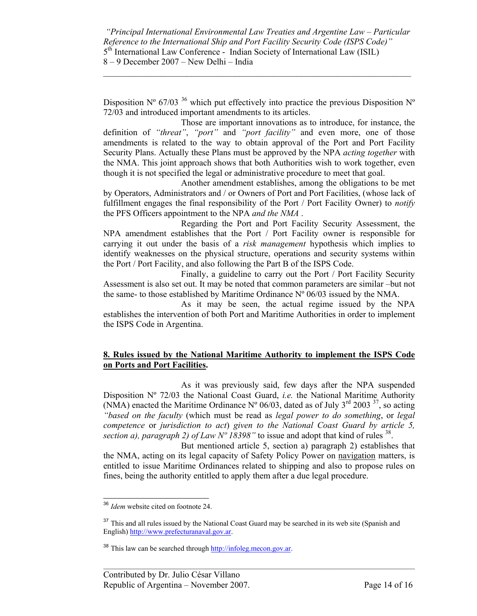$\mathcal{L}_\mathcal{L} = \mathcal{L}_\mathcal{L} = \mathcal{L}_\mathcal{L} = \mathcal{L}_\mathcal{L} = \mathcal{L}_\mathcal{L} = \mathcal{L}_\mathcal{L} = \mathcal{L}_\mathcal{L} = \mathcal{L}_\mathcal{L} = \mathcal{L}_\mathcal{L} = \mathcal{L}_\mathcal{L} = \mathcal{L}_\mathcal{L} = \mathcal{L}_\mathcal{L} = \mathcal{L}_\mathcal{L} = \mathcal{L}_\mathcal{L} = \mathcal{L}_\mathcal{L} = \mathcal{L}_\mathcal{L} = \mathcal{L}_\mathcal{L}$ 

Disposition  $N^{\circ}$  67/03<sup>36</sup> which put effectively into practice the previous Disposition  $N^{\circ}$ 72/03 and introduced important amendments to its articles.

 Those are important innovations as to introduce, for instance, the definition of *"threat"*, *"port"* and *"port facility"* and even more, one of those amendments is related to the way to obtain approval of the Port and Port Facility Security Plans. Actually these Plans must be approved by the NPA *acting together* with the NMA. This joint approach shows that both Authorities wish to work together, even though it is not specified the legal or administrative procedure to meet that goal.

 Another amendment establishes, among the obligations to be met by Operators, Administrators and / or Owners of Port and Port Facilities, (whose lack of fulfillment engages the final responsibility of the Port / Port Facility Owner) to *notify* the PFS Officers appointment to the NPA *and the NMA* .

 Regarding the Port and Port Facility Security Assessment, the NPA amendment establishes that the Port / Port Facility owner is responsible for carrying it out under the basis of a *risk management* hypothesis which implies to identify weaknesses on the physical structure, operations and security systems within the Port / Port Facility, and also following the Part B of the ISPS Code.

 Finally, a guideline to carry out the Port / Port Facility Security Assessment is also set out. It may be noted that common parameters are similar –but not the same- to those established by Maritime Ordinance  $N^{\circ}$  06/03 issued by the NMA.

 As it may be seen, the actual regime issued by the NPA establishes the intervention of both Port and Maritime Authorities in order to implement the ISPS Code in Argentina.

## **8. Rules issued by the National Maritime Authority to implement the ISPS Code on Ports and Port Facilities.**

 As it was previously said, few days after the NPA suspended Disposition Nº 72/03 the National Coast Guard, *i.e.* the National Maritime Authority (NMA) enacted the Maritime Ordinance N° 06/03, dated as of July 3<sup>rd</sup> 2003<sup>37</sup>, so acting *"based on the faculty* (which must be read as *legal power to do something*, or *legal competence* or *jurisdiction to act*) *given to the National Coast Guard by article 5, section a), paragraph 2) of Law N° 18398"* to issue and adopt that kind of rules <sup>38</sup>.

 But mentioned article 5, section a) paragraph 2) establishes that the NMA, acting on its legal capacity of Safety Policy Power on navigation matters, is entitled to issue Maritime Ordinances related to shipping and also to propose rules on fines, being the authority entitled to apply them after a due legal procedure.

 $\overline{a}$ <sup>36</sup> *Idem* website cited on footnote 24.

<sup>&</sup>lt;sup>37</sup> This and all rules issued by the National Coast Guard may be searched in its web site (Spanish and English) http://www.prefecturanaval.gov.ar.

<sup>38</sup> This law can be searched through http://infoleg.mecon.gov.ar.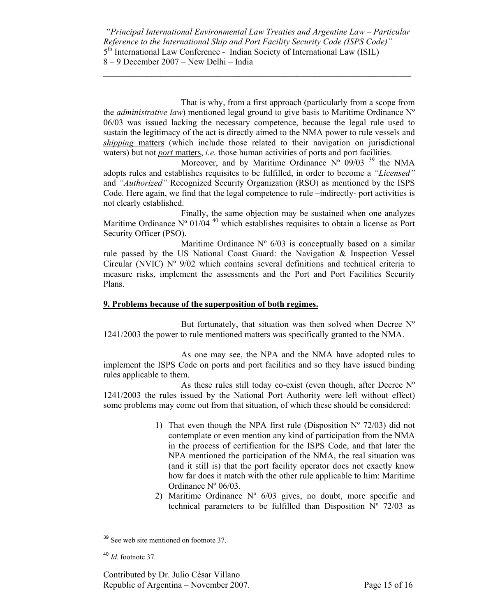$\mathcal{L}_\mathcal{L} = \mathcal{L}_\mathcal{L} = \mathcal{L}_\mathcal{L} = \mathcal{L}_\mathcal{L} = \mathcal{L}_\mathcal{L} = \mathcal{L}_\mathcal{L} = \mathcal{L}_\mathcal{L} = \mathcal{L}_\mathcal{L} = \mathcal{L}_\mathcal{L} = \mathcal{L}_\mathcal{L} = \mathcal{L}_\mathcal{L} = \mathcal{L}_\mathcal{L} = \mathcal{L}_\mathcal{L} = \mathcal{L}_\mathcal{L} = \mathcal{L}_\mathcal{L} = \mathcal{L}_\mathcal{L} = \mathcal{L}_\mathcal{L}$ 

 That is why, from a first approach (particularly from a scope from the *administrative law*) mentioned legal ground to give basis to Maritime Ordinance Nº 06/03 was issued lacking the necessary competence, because the legal rule used to sustain the legitimacy of the act is directly aimed to the NMA power to rule vessels and *shipping* matters (which include those related to their navigation on jurisdictional waters) but not *port* matters, *i.e.* those human activities of ports and port facilities.

Moreover, and by Maritime Ordinance  $N^{\circ}$  09/03 <sup>39</sup> the NMA adopts rules and establishes requisites to be fulfilled, in order to become a *"Licensed"* and *"Authorized"* Recognized Security Organization (RSO) as mentioned by the ISPS Code. Here again, we find that the legal competence to rule –indirectly- port activities is not clearly established.

 Finally, the same objection may be sustained when one analyzes Maritime Ordinance N° 01/04<sup>40</sup> which establishes requisites to obtain a license as Port Security Officer (PSO).

Maritime Ordinance  $N^{\circ}$  6/03 is conceptually based on a similar rule passed by the US National Coast Guard: the Navigation & Inspection Vessel Circular (NVIC) Nº 9/02 which contains several definitions and technical criteria to measure risks, implement the assessments and the Port and Port Facilities Security Plans.

## **9. Problems because of the superposition of both regimes.**

But fortunately, that situation was then solved when Decree  $N^{\circ}$ 1241/2003 the power to rule mentioned matters was specifically granted to the NMA.

 As one may see, the NPA and the NMA have adopted rules to implement the ISPS Code on ports and port facilities and so they have issued binding rules applicable to them.

 As these rules still today co-exist (even though, after Decree Nº 1241/2003 the rules issued by the National Port Authority were left without effect) some problems may come out from that situation, of which these should be considered:

- 1) That even though the NPA first rule (Disposition  $N^{\circ}$  72/03) did not contemplate or even mention any kind of participation from the NMA in the process of certification for the ISPS Code, and that later the NPA mentioned the participation of the NMA, the real situation was (and it still is) that the port facility operator does not exactly know how far does it match with the other rule applicable to him: Maritime Ordinance Nº 06/03.
- 2) Maritime Ordinance Nº 6/03 gives, no doubt, more specific and technical parameters to be fulfilled than Disposition  $N^{\circ}$  72/03 as

 $\overline{a}$ <sup>39</sup> See web site mentioned on footnote 37.

<sup>40</sup> *Id.* footnote 37.